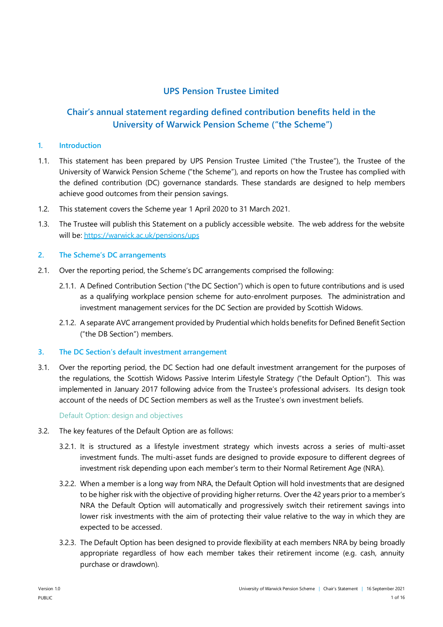# **UPS Pension Trustee Limited**

# **Chair's annual statement regarding defined contribution benefits held in the University of Warwick Pension Scheme ("the Scheme")**

## **1. Introduction**

- 1.1. This statement has been prepared by UPS Pension Trustee Limited ("the Trustee"), the Trustee of the University of Warwick Pension Scheme ("the Scheme"), and reports on how the Trustee has complied with the defined contribution (DC) governance standards. These standards are designed to help members achieve good outcomes from their pension savings.
- 1.2. This statement covers the Scheme year 1 April 2020 to 31 March 2021.
- 1.3. The Trustee will publish this Statement on a publicly accessible website. The web address for the website will be[: https://warwick.ac.uk/pensions/ups](https://protect-eu.mimecast.com/s/kX6BCVmDBCxEY74uGghRZ?domain=warwick.ac.uk)

## **2. The Scheme's DC arrangements**

- 2.1. Over the reporting period, the Scheme's DC arrangements comprised the following:
	- 2.1.1. A Defined Contribution Section ("the DC Section") which is open to future contributions and is used as a qualifying workplace pension scheme for auto-enrolment purposes. The administration and investment management services for the DC Section are provided by Scottish Widows.
	- 2.1.2. A separate AVC arrangement provided by Prudential which holds benefits for Defined Benefit Section ("the DB Section") members.

### **3. The DC Section's default investment arrangement**

3.1. Over the reporting period, the DC Section had one default investment arrangement for the purposes of the regulations, the Scottish Widows Passive Interim Lifestyle Strategy ("the Default Option"). This was implemented in January 2017 following advice from the Trustee's professional advisers. Its design took account of the needs of DC Section members as well as the Trustee's own investment beliefs.

### Default Option: design and objectives

- 3.2. The key features of the Default Option are as follows:
	- 3.2.1. It is structured as a lifestyle investment strategy which invests across a series of multi-asset investment funds. The multi-asset funds are designed to provide exposure to different degrees of investment risk depending upon each member's term to their Normal Retirement Age (NRA).
	- 3.2.2. When a member is a long way from NRA, the Default Option will hold investments that are designed to be higher risk with the objective of providing higher returns. Over the 42 years prior to a member's NRA the Default Option will automatically and progressively switch their retirement savings into lower risk investments with the aim of protecting their value relative to the way in which they are expected to be accessed.
	- 3.2.3. The Default Option has been designed to provide flexibility at each members NRA by being broadly appropriate regardless of how each member takes their retirement income (e.g. cash, annuity purchase or drawdown).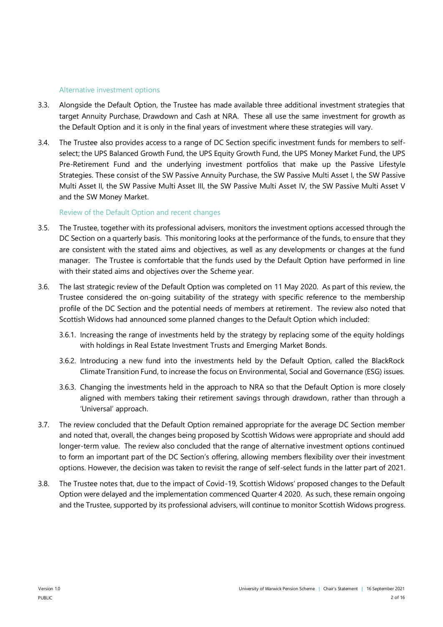### Alternative investment options

- 3.3. Alongside the Default Option, the Trustee has made available three additional investment strategies that target Annuity Purchase, Drawdown and Cash at NRA. These all use the same investment for growth as the Default Option and it is only in the final years of investment where these strategies will vary.
- 3.4. The Trustee also provides access to a range of DC Section specific investment funds for members to selfselect; the UPS Balanced Growth Fund, the UPS Equity Growth Fund, the UPS Money Market Fund, the UPS Pre-Retirement Fund and the underlying investment portfolios that make up the Passive Lifestyle Strategies. These consist of the SW Passive Annuity Purchase, the SW Passive Multi Asset I, the SW Passive Multi Asset II, the SW Passive Multi Asset III, the SW Passive Multi Asset IV, the SW Passive Multi Asset V and the SW Money Market.

## Review of the Default Option and recent changes

- 3.5. The Trustee, together with its professional advisers, monitors the investment options accessed through the DC Section on a quarterly basis. This monitoring looks at the performance of the funds, to ensure that they are consistent with the stated aims and objectives, as well as any developments or changes at the fund manager. The Trustee is comfortable that the funds used by the Default Option have performed in line with their stated aims and objectives over the Scheme year.
- 3.6. The last strategic review of the Default Option was completed on 11 May 2020. As part of this review, the Trustee considered the on-going suitability of the strategy with specific reference to the membership profile of the DC Section and the potential needs of members at retirement. The review also noted that Scottish Widows had announced some planned changes to the Default Option which included:
	- 3.6.1. Increasing the range of investments held by the strategy by replacing some of the equity holdings with holdings in Real Estate Investment Trusts and Emerging Market Bonds.
	- 3.6.2. Introducing a new fund into the investments held by the Default Option, called the BlackRock Climate Transition Fund, to increase the focus on Environmental, Social and Governance (ESG) issues.
	- 3.6.3. Changing the investments held in the approach to NRA so that the Default Option is more closely aligned with members taking their retirement savings through drawdown, rather than through a 'Universal' approach.
- 3.7. The review concluded that the Default Option remained appropriate for the average DC Section member and noted that, overall, the changes being proposed by Scottish Widows were appropriate and should add longer-term value. The review also concluded that the range of alternative investment options continued to form an important part of the DC Section's offering, allowing members flexibility over their investment options. However, the decision was taken to revisit the range of self-select funds in the latter part of 2021.
- 3.8. The Trustee notes that, due to the impact of Covid-19, Scottish Widows' proposed changes to the Default Option were delayed and the implementation commenced Quarter 4 2020. As such, these remain ongoing and the Trustee, supported by its professional advisers, will continue to monitor Scottish Widows progress.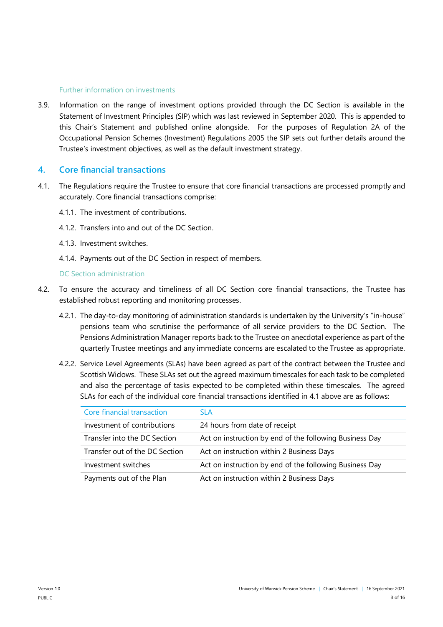### Further information on investments

3.9. Information on the range of investment options provided through the DC Section is available in the Statement of Investment Principles (SIP) which was last reviewed in September 2020. This is appended to this Chair's Statement and published online alongside. For the purposes of Regulation 2A of the Occupational Pension Schemes (Investment) Regulations 2005 the SIP sets out further details around the Trustee's investment objectives, as well as the default investment strategy.

## **4. Core financial transactions**

- 4.1. The Regulations require the Trustee to ensure that core financial transactions are processed promptly and accurately. Core financial transactions comprise:
	- 4.1.1. The investment of contributions.
	- 4.1.2. Transfers into and out of the DC Section.
	- 4.1.3. Investment switches.
	- 4.1.4. Payments out of the DC Section in respect of members.

### DC Section administration

- 4.2. To ensure the accuracy and timeliness of all DC Section core financial transactions, the Trustee has established robust reporting and monitoring processes.
	- 4.2.1. The day-to-day monitoring of administration standards is undertaken by the University's "in-house" pensions team who scrutinise the performance of all service providers to the DC Section. The Pensions Administration Manager reports back to the Trustee on anecdotal experience as part of the quarterly Trustee meetings and any immediate concerns are escalated to the Trustee as appropriate.
	- 4.2.2. Service Level Agreements (SLAs) have been agreed as part of the contract between the Trustee and Scottish Widows. These SLAs set out the agreed maximum timescales for each task to be completed and also the percentage of tasks expected to be completed within these timescales. The agreed SLAs for each of the individual core financial transactions identified in 4.1 above are as follows:

| Core financial transaction     | SI A                                                    |
|--------------------------------|---------------------------------------------------------|
| Investment of contributions    | 24 hours from date of receipt                           |
| Transfer into the DC Section   | Act on instruction by end of the following Business Day |
| Transfer out of the DC Section | Act on instruction within 2 Business Days               |
| Investment switches            | Act on instruction by end of the following Business Day |
| Payments out of the Plan       | Act on instruction within 2 Business Days               |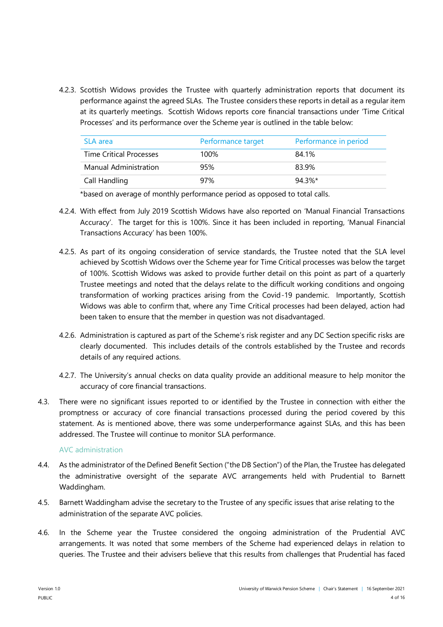4.2.3. Scottish Widows provides the Trustee with quarterly administration reports that document its performance against the agreed SLAs. The Trustee considers these reports in detail as a regular item at its quarterly meetings. Scottish Widows reports core financial transactions under 'Time Critical Processes' and its performance over the Scheme year is outlined in the table below:

| SLA area                       | Performance target | Performance in period |
|--------------------------------|--------------------|-----------------------|
| <b>Time Critical Processes</b> | 100%               | 84.1%                 |
| Manual Administration          | 95%                | 83.9%                 |
| Call Handling                  | 97%                | 94.3%*                |

\*based on average of monthly performance period as opposed to total calls.

- 4.2.4. With effect from July 2019 Scottish Widows have also reported on 'Manual Financial Transactions Accuracy'. The target for this is 100%. Since it has been included in reporting, 'Manual Financial Transactions Accuracy' has been 100%.
- 4.2.5. As part of its ongoing consideration of service standards, the Trustee noted that the SLA level achieved by Scottish Widows over the Scheme year for Time Critical processes was below the target of 100%. Scottish Widows was asked to provide further detail on this point as part of a quarterly Trustee meetings and noted that the delays relate to the difficult working conditions and ongoing transformation of working practices arising from the Covid-19 pandemic. Importantly, Scottish Widows was able to confirm that, where any Time Critical processes had been delayed, action had been taken to ensure that the member in question was not disadvantaged.
- 4.2.6. Administration is captured as part of the Scheme's risk register and any DC Section specific risks are clearly documented. This includes details of the controls established by the Trustee and records details of any required actions.
- 4.2.7. The University's annual checks on data quality provide an additional measure to help monitor the accuracy of core financial transactions.
- 4.3. There were no significant issues reported to or identified by the Trustee in connection with either the promptness or accuracy of core financial transactions processed during the period covered by this statement. As is mentioned above, there was some underperformance against SLAs, and this has been addressed. The Trustee will continue to monitor SLA performance.

### AVC administration

- 4.4. As the administrator of the Defined Benefit Section ("the DB Section") of the Plan, the Trustee has delegated the administrative oversight of the separate AVC arrangements held with Prudential to Barnett Waddingham.
- 4.5. Barnett Waddingham advise the secretary to the Trustee of any specific issues that arise relating to the administration of the separate AVC policies.
- 4.6. In the Scheme year the Trustee considered the ongoing administration of the Prudential AVC arrangements. It was noted that some members of the Scheme had experienced delays in relation to queries. The Trustee and their advisers believe that this results from challenges that Prudential has faced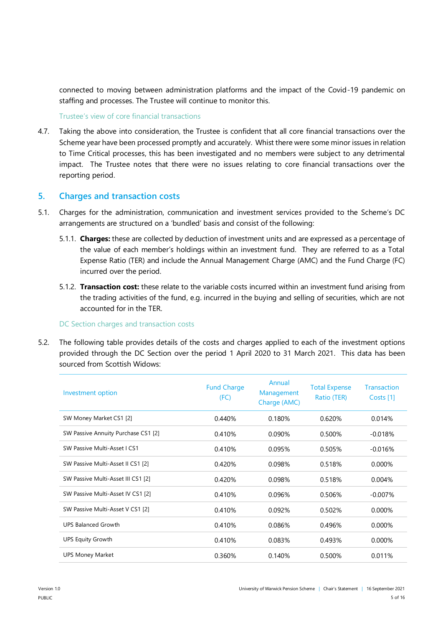connected to moving between administration platforms and the impact of the Covid-19 pandemic on staffing and processes. The Trustee will continue to monitor this.

Trustee's view of core financial transactions

4.7. Taking the above into consideration, the Trustee is confident that all core financial transactions over the Scheme year have been processed promptly and accurately. Whist there were some minor issues in relation to Time Critical processes, this has been investigated and no members were subject to any detrimental impact. The Trustee notes that there were no issues relating to core financial transactions over the reporting period.

# **5. Charges and transaction costs**

- 5.1. Charges for the administration, communication and investment services provided to the Scheme's DC arrangements are structured on a 'bundled' basis and consist of the following:
	- 5.1.1. **Charges:** these are collected by deduction of investment units and are expressed as a percentage of the value of each member's holdings within an investment fund. They are referred to as a Total Expense Ratio (TER) and include the Annual Management Charge (AMC) and the Fund Charge (FC) incurred over the period.
	- 5.1.2. **Transaction cost:** these relate to the variable costs incurred within an investment fund arising from the trading activities of the fund, e.g. incurred in the buying and selling of securities, which are not accounted for in the TER.

### DC Section charges and transaction costs

5.2. The following table provides details of the costs and charges applied to each of the investment options provided through the DC Section over the period 1 April 2020 to 31 March 2021. This data has been sourced from Scottish Widows:

| Investment option                   | <b>Fund Charge</b><br>(FC) | Annual<br>Management<br>Charge (AMC) | <b>Total Expense</b><br>Ratio (TER) | <b>Transaction</b><br>Costs [1] |
|-------------------------------------|----------------------------|--------------------------------------|-------------------------------------|---------------------------------|
| SW Money Market CS1 [2]             | 0.440%                     | 0.180%                               | 0.620%                              | 0.014%                          |
| SW Passive Annuity Purchase CS1 [2] | 0.410%                     | 0.090%                               | 0.500%                              | $-0.018%$                       |
| SW Passive Multi-Asset I CS1        | 0.410%                     | 0.095%                               | 0.505%                              | $-0.016%$                       |
| SW Passive Multi-Asset II CS1 [2]   | 0.420%                     | 0.098%                               | 0.518%                              | 0.000%                          |
| SW Passive Multi-Asset III CS1 [2]  | 0.420%                     | 0.098%                               | 0.518%                              | 0.004%                          |
| SW Passive Multi-Asset IV CS1 [2]   | 0.410%                     | 0.096%                               | 0.506%                              | $-0.007%$                       |
| SW Passive Multi-Asset V CS1 [2]    | 0.410%                     | 0.092%                               | 0.502%                              | $0.000\%$                       |
| <b>UPS Balanced Growth</b>          | 0.410%                     | 0.086%                               | 0.496%                              | 0.000%                          |
| <b>UPS Equity Growth</b>            | 0.410%                     | 0.083%                               | 0.493%                              | 0.000%                          |
| <b>UPS Money Market</b>             | 0.360%                     | 0.140%                               | 0.500%                              | 0.011%                          |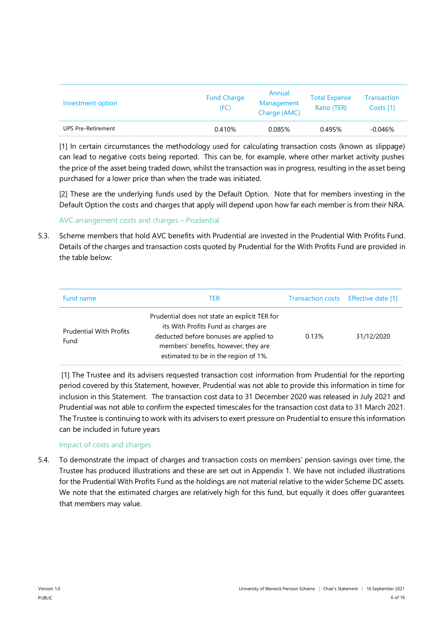| Investment option         | <b>Fund Charge</b><br>(FC) | Annual<br>Management<br>Charge (AMC) | <b>Total Expense</b><br>Ratio (TER) | Transaction<br>Costs [1] |
|---------------------------|----------------------------|--------------------------------------|-------------------------------------|--------------------------|
| <b>UPS Pre-Retirement</b> | 0.410%                     | 0.085%                               | 0.495%                              | $-0.046%$                |

[1] In certain circumstances the methodology used for calculating transaction costs (known as slippage) can lead to negative costs being reported. This can be, for example, where other market activity pushes the price of the asset being traded down, whilst the transaction was in progress, resulting in the asset being purchased for a lower price than when the trade was initiated.

[2] These are the underlying funds used by the Default Option. Note that for members investing in the Default Option the costs and charges that apply will depend upon how far each member is from their NRA.

# AVC arrangement costs and charges – Prudential

5.3. Scheme members that hold AVC benefits with Prudential are invested in the Prudential With Profits Fund. Details of the charges and transaction costs quoted by Prudential for the With Profits Fund are provided in the table below:

| Fund name                              | TER                                                                                                                                                                                                             | Transaction costs Effective date [1] |            |
|----------------------------------------|-----------------------------------------------------------------------------------------------------------------------------------------------------------------------------------------------------------------|--------------------------------------|------------|
| <b>Prudential With Profits</b><br>Fund | Prudential does not state an explicit TER for<br>its With Profits Fund as charges are<br>deducted before bonuses are applied to<br>members' benefits, however, they are<br>estimated to be in the region of 1%. | 0.13%                                | 31/12/2020 |

[1] The Trustee and its advisers requested transaction cost information from Prudential for the reporting period covered by this Statement, however, Prudential was not able to provide this information in time for inclusion in this Statement. The transaction cost data to 31 December 2020 was released in July 2021 and Prudential was not able to confirm the expected timescales for the transaction cost data to 31 March 2021. The Trustee is continuing to work with its advisers to exert pressure on Prudential to ensure this information can be included in future years

# Impact of costs and charges

5.4. To demonstrate the impact of charges and transaction costs on members' pension savings over time, the Trustee has produced illustrations and these are set out in Appendix 1. We have not included illustrations for the Prudential With Profits Fund as the holdings are not material relative to the wider Scheme DC assets. We note that the estimated charges are relatively high for this fund, but equally it does offer guarantees that members may value.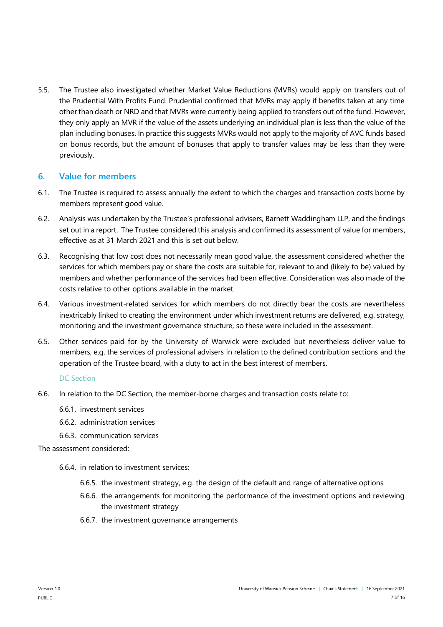5.5. The Trustee also investigated whether Market Value Reductions (MVRs) would apply on transfers out of the Prudential With Profits Fund. Prudential confirmed that MVRs may apply if benefits taken at any time other than death or NRD and that MVRs were currently being applied to transfers out of the fund. However, they only apply an MVR if the value of the assets underlying an individual plan is less than the value of the plan including bonuses. In practice this suggests MVRs would not apply to the majority of AVC funds based on bonus records, but the amount of bonuses that apply to transfer values may be less than they were previously.

# **6. Value for members**

- 6.1. The Trustee is required to assess annually the extent to which the charges and transaction costs borne by members represent good value.
- 6.2. Analysis was undertaken by the Trustee's professional advisers, Barnett Waddingham LLP, and the findings set out in a report. The Trustee considered this analysis and confirmed its assessment of value for members, effective as at 31 March 2021 and this is set out below.
- 6.3. Recognising that low cost does not necessarily mean good value, the assessment considered whether the services for which members pay or share the costs are suitable for, relevant to and (likely to be) valued by members and whether performance of the services had been effective. Consideration was also made of the costs relative to other options available in the market.
- 6.4. Various investment-related services for which members do not directly bear the costs are nevertheless inextricably linked to creating the environment under which investment returns are delivered, e.g. strategy, monitoring and the investment governance structure, so these were included in the assessment.
- 6.5. Other services paid for by the University of Warwick were excluded but nevertheless deliver value to members, e.g. the services of professional advisers in relation to the defined contribution sections and the operation of the Trustee board, with a duty to act in the best interest of members.

### DC Section

- 6.6. In relation to the DC Section, the member-borne charges and transaction costs relate to:
	- 6.6.1. investment services
	- 6.6.2. administration services
	- 6.6.3. communication services

The assessment considered:

- 6.6.4. in relation to investment services:
	- 6.6.5. the investment strategy, e.g. the design of the default and range of alternative options
	- 6.6.6. the arrangements for monitoring the performance of the investment options and reviewing the investment strategy
	- 6.6.7. the investment governance arrangements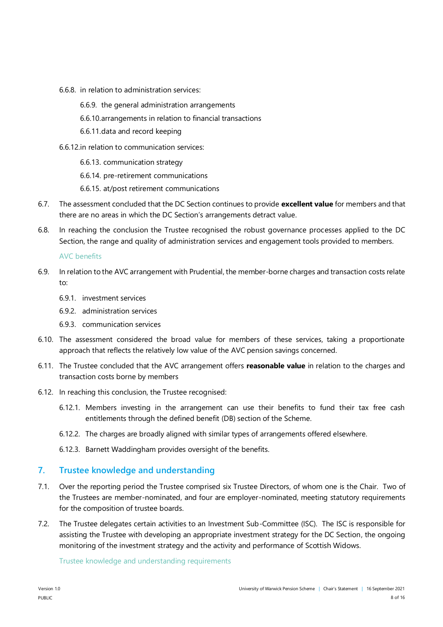- 6.6.8. in relation to administration services:
	- 6.6.9. the general administration arrangements
	- 6.6.10.arrangements in relation to financial transactions
	- 6.6.11.data and record keeping
- 6.6.12.in relation to communication services:
	- 6.6.13. communication strategy
	- 6.6.14. pre-retirement communications
	- 6.6.15. at/post retirement communications
- 6.7. The assessment concluded that the DC Section continues to provide **excellent value** for members and that there are no areas in which the DC Section's arrangements detract value.
- 6.8. In reaching the conclusion the Trustee recognised the robust governance processes applied to the DC Section, the range and quality of administration services and engagement tools provided to members.

#### AVC benefits

- 6.9. In relation to the AVC arrangement with Prudential, the member-borne charges and transaction costs relate to:
	- 6.9.1. investment services
	- 6.9.2. administration services
	- 6.9.3. communication services
- 6.10. The assessment considered the broad value for members of these services, taking a proportionate approach that reflects the relatively low value of the AVC pension savings concerned.
- 6.11. The Trustee concluded that the AVC arrangement offers **reasonable value** in relation to the charges and transaction costs borne by members
- 6.12. In reaching this conclusion, the Trustee recognised:
	- 6.12.1. Members investing in the arrangement can use their benefits to fund their tax free cash entitlements through the defined benefit (DB) section of the Scheme.
	- 6.12.2. The charges are broadly aligned with similar types of arrangements offered elsewhere.
	- 6.12.3. Barnett Waddingham provides oversight of the benefits.

# **7. Trustee knowledge and understanding**

- 7.1. Over the reporting period the Trustee comprised six Trustee Directors, of whom one is the Chair. Two of the Trustees are member-nominated, and four are employer-nominated, meeting statutory requirements for the composition of trustee boards.
- 7.2. The Trustee delegates certain activities to an Investment Sub-Committee (ISC). The ISC is responsible for assisting the Trustee with developing an appropriate investment strategy for the DC Section, the ongoing monitoring of the investment strategy and the activity and performance of Scottish Widows.

Trustee knowledge and understanding requirements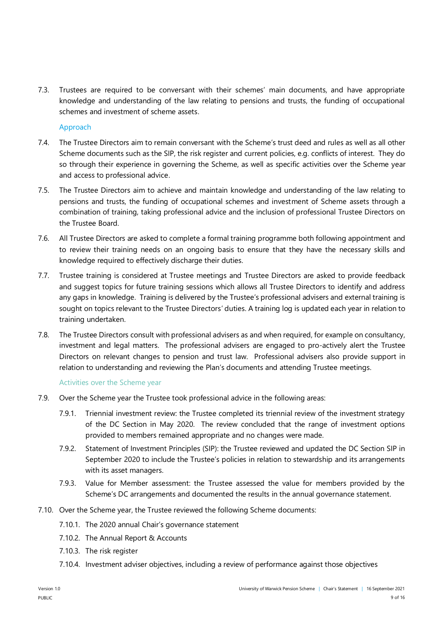7.3. Trustees are required to be conversant with their schemes' main documents, and have appropriate knowledge and understanding of the law relating to pensions and trusts, the funding of occupational schemes and investment of scheme assets.

## Approach

- 7.4. The Trustee Directors aim to remain conversant with the Scheme's trust deed and rules as well as all other Scheme documents such as the SIP, the risk register and current policies, e.g. conflicts of interest. They do so through their experience in governing the Scheme, as well as specific activities over the Scheme year and access to professional advice.
- 7.5. The Trustee Directors aim to achieve and maintain knowledge and understanding of the law relating to pensions and trusts, the funding of occupational schemes and investment of Scheme assets through a combination of training, taking professional advice and the inclusion of professional Trustee Directors on the Trustee Board.
- 7.6. All Trustee Directors are asked to complete a formal training programme both following appointment and to review their training needs on an ongoing basis to ensure that they have the necessary skills and knowledge required to effectively discharge their duties.
- 7.7. Trustee training is considered at Trustee meetings and Trustee Directors are asked to provide feedback and suggest topics for future training sessions which allows all Trustee Directors to identify and address any gaps in knowledge. Training is delivered by the Trustee's professional advisers and external training is sought on topics relevant to the Trustee Directors' duties. A training log is updated each year in relation to training undertaken.
- 7.8. The Trustee Directors consult with professional advisers as and when required, for example on consultancy, investment and legal matters. The professional advisers are engaged to pro-actively alert the Trustee Directors on relevant changes to pension and trust law. Professional advisers also provide support in relation to understanding and reviewing the Plan's documents and attending Trustee meetings.

### Activities over the Scheme year

- 7.9. Over the Scheme year the Trustee took professional advice in the following areas:
	- 7.9.1. Triennial investment review: the Trustee completed its triennial review of the investment strategy of the DC Section in May 2020. The review concluded that the range of investment options provided to members remained appropriate and no changes were made.
	- 7.9.2. Statement of Investment Principles (SIP): the Trustee reviewed and updated the DC Section SIP in September 2020 to include the Trustee's policies in relation to stewardship and its arrangements with its asset managers.
	- 7.9.3. Value for Member assessment: the Trustee assessed the value for members provided by the Scheme's DC arrangements and documented the results in the annual governance statement.
- 7.10. Over the Scheme year, the Trustee reviewed the following Scheme documents:
	- 7.10.1. The 2020 annual Chair's governance statement
	- 7.10.2. The Annual Report & Accounts
	- 7.10.3. The risk register
	- 7.10.4. Investment adviser objectives, including a review of performance against those objectives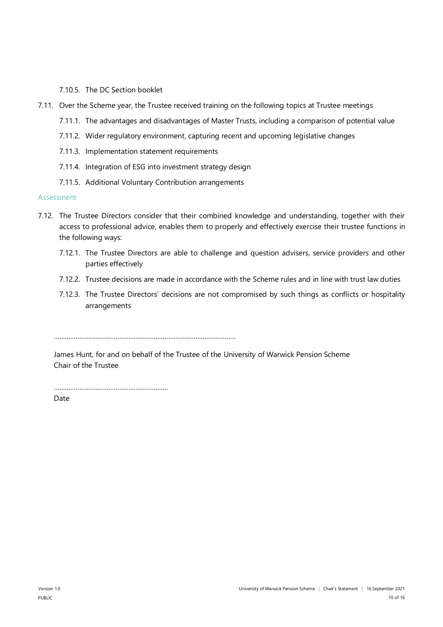## 7.10.5. The DC Section booklet

- 7.11. Over the Scheme year, the Trustee received training on the following topics at Trustee meetings
	- 7.11.1. The advantages and disadvantages of Master Trusts, including a comparison of potential value
	- 7.11.2. Wider regulatory environment, capturing recent and upcoming legislative changes
	- 7.11.3. Implementation statement requirements
	- 7.11.4. Integration of ESG into investment strategy design
	- 7.11.5. Additional Voluntary Contribution arrangements

### Assessment

- 7.12. The Trustee Directors consider that their combined knowledge and understanding, together with their access to professional advice, enables them to properly and effectively exercise their trustee functions in the following ways:
	- 7.12.1. The Trustee Directors are able to challenge and question advisers, service providers and other parties effectively
	- 7.12.2. Trustee decisions are made in accordance with the Scheme rules and in line with trust law duties
	- 7.12.3. The Trustee Directors' decisions are not compromised by such things as conflicts or hospitality arrangements

……………………………………………………………………………………….

James Hunt, for and on behalf of the Trustee of the University of Warwick Pension Scheme Chair of the Trustee

………………………………………………………

**Date**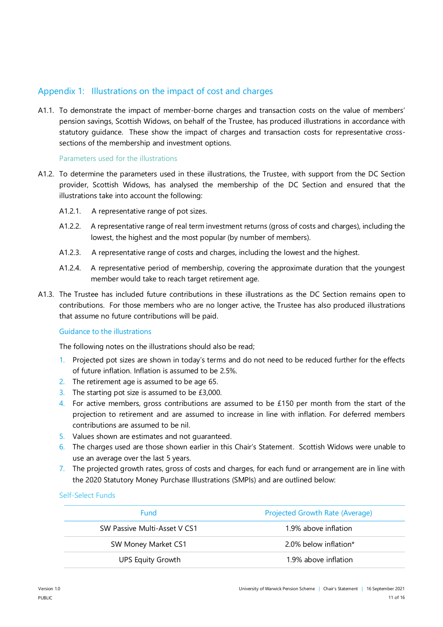# Appendix 1: Illustrations on the impact of cost and charges

A1.1. To demonstrate the impact of member-borne charges and transaction costs on the value of members' pension savings, Scottish Widows, on behalf of the Trustee, has produced illustrations in accordance with statutory guidance. These show the impact of charges and transaction costs for representative crosssections of the membership and investment options.

## Parameters used for the illustrations

- A1.2. To determine the parameters used in these illustrations, the Trustee, with support from the DC Section provider, Scottish Widows, has analysed the membership of the DC Section and ensured that the illustrations take into account the following:
	- A1.2.1. A representative range of pot sizes.
	- A1.2.2. A representative range of real term investment returns (gross of costs and charges), including the lowest, the highest and the most popular (by number of members).
	- A1.2.3. A representative range of costs and charges, including the lowest and the highest.
	- A1.2.4. A representative period of membership, covering the approximate duration that the youngest member would take to reach target retirement age.
- A1.3. The Trustee has included future contributions in these illustrations as the DC Section remains open to contributions. For those members who are no longer active, the Trustee has also produced illustrations that assume no future contributions will be paid.

# Guidance to the illustrations

The following notes on the illustrations should also be read;

- 1. Projected pot sizes are shown in today's terms and do not need to be reduced further for the effects of future inflation. Inflation is assumed to be 2.5%.
- 2. The retirement age is assumed to be age 65.
- 3. The starting pot size is assumed to be £3,000.
- 4. For active members, gross contributions are assumed to be  $£150$  per month from the start of the projection to retirement and are assumed to increase in line with inflation. For deferred members contributions are assumed to be nil.
- 5. Values shown are estimates and not guaranteed.
- 6. The charges used are those shown earlier in this Chair's Statement. Scottish Widows were unable to use an average over the last 5 years.
- 7. The projected growth rates, gross of costs and charges, for each fund or arrangement are in line with the 2020 Statutory Money Purchase Illustrations (SMPIs) and are outlined below:

### Self-Select Funds

| <b>Fund</b>                  | Projected Growth Rate (Average) |
|------------------------------|---------------------------------|
| SW Passive Multi-Asset V CS1 | 1.9% above inflation            |
| SW Money Market CS1          | 2.0% below inflation*           |
| UPS Equity Growth            | 1.9% above inflation            |
|                              |                                 |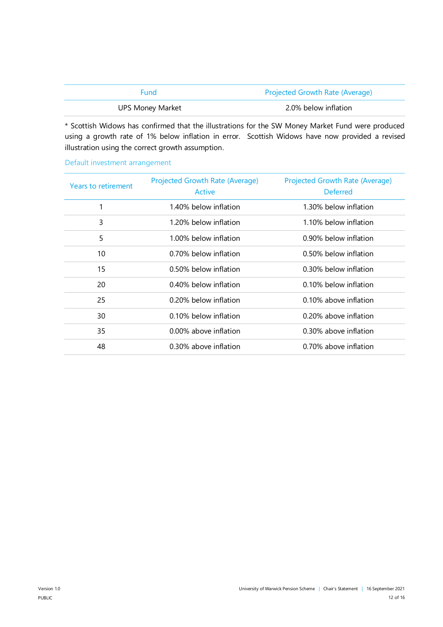| <b>Fund</b>             | <b>Projected Growth Rate (Average)</b> |
|-------------------------|----------------------------------------|
| <b>UPS Money Market</b> | 2.0% below inflation                   |

\* Scottish Widows has confirmed that the illustrations for the SW Money Market Fund were produced using a growth rate of 1% below inflation in error. Scottish Widows have now provided a revised illustration using the correct growth assumption.

| Years to retirement | <b>Projected Growth Rate (Average)</b><br>Active | Projected Growth Rate (Average)<br><b>Deferred</b> |
|---------------------|--------------------------------------------------|----------------------------------------------------|
| 1                   | 1.40% below inflation                            | 1.30% below inflation                              |
| 3                   | 1.20% below inflation                            | 1.10% below inflation                              |
| 5                   | 1.00% below inflation                            | 0.90% below inflation                              |
| 10                  | 0.70% below inflation                            | 0.50% below inflation                              |
| 15                  | 0.50% below inflation                            | 0.30% below inflation                              |
| 20                  | 0.40% below inflation                            | 0.10% below inflation                              |
| 25                  | 0.20% below inflation                            | 0.10% above inflation                              |
| 30                  | 0.10% below inflation                            | 0.20% above inflation                              |
| 35                  | 0.00% above inflation                            | 0.30% above inflation                              |
| 48                  | 0.30% above inflation                            | 0.70% above inflation                              |

## Default investment arrangement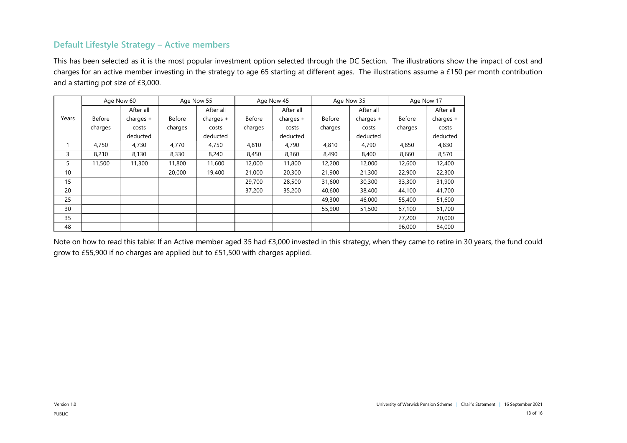# **Default Lifestyle Strategy – Active members**

This has been selected as it is the most popular investment option selected through the DC Section. The illustrations show the impact of cost and charges for an active member investing in the strategy to age 65 starting at different ages. The illustrations assume a £150 per month contribution and a starting pot size of £3,000.

|       |         | Age Now 60  |         | Age Now 55<br>Age Now 45<br>Age Now 35 |               |             |         | Age Now 17  |         |             |
|-------|---------|-------------|---------|----------------------------------------|---------------|-------------|---------|-------------|---------|-------------|
|       |         | After all   |         | After all                              |               | After all   |         | After all   |         | After all   |
| Years | Before  | charges $+$ | Before  | charges $+$                            | <b>Before</b> | charges $+$ | Before  | charges $+$ | Before  | charges $+$ |
|       | charges | costs       | charges | costs                                  | charges       | costs       | charges | costs       | charges | costs       |
|       |         | deducted    |         | deducted                               |               | deducted    |         | deducted    |         | deducted    |
|       | 4.750   | 4.730       | 4.770   | 4.750                                  | 4,810         | 4,790       | 4,810   | 4,790       | 4,850   | 4,830       |
| 3     | 8.210   | 8,130       | 8,330   | 8.240                                  | 8,450         | 8,360       | 8,490   | 8,400       | 8,660   | 8,570       |
| 5     | 11,500  | 11,300      | 11,800  | 11,600                                 | 12,000        | 11,800      | 12,200  | 12,000      | 12,600  | 12,400      |
| 10    |         |             | 20,000  | 19,400                                 | 21,000        | 20,300      | 21,900  | 21,300      | 22,900  | 22,300      |
| 15    |         |             |         |                                        | 29,700        | 28,500      | 31,600  | 30,300      | 33,300  | 31,900      |
| 20    |         |             |         |                                        | 37,200        | 35,200      | 40,600  | 38,400      | 44,100  | 41,700      |
| 25    |         |             |         |                                        |               |             | 49,300  | 46,000      | 55,400  | 51,600      |
| 30    |         |             |         |                                        |               |             | 55,900  | 51,500      | 67,100  | 61,700      |
| 35    |         |             |         |                                        |               |             |         |             | 77,200  | 70,000      |
| 48    |         |             |         |                                        |               |             |         |             | 96,000  | 84,000      |

Note on how to read this table: If an Active member aged 35 had £3,000 invested in this strategy, when they came to retire in 30 years, the fund could grow to £55,900 if no charges are applied but to £51,500 with charges applied.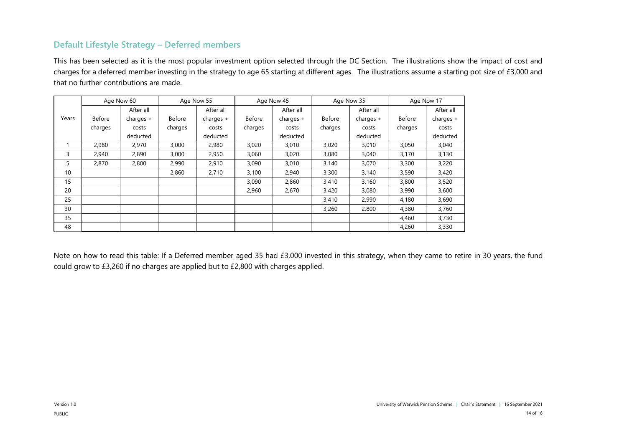# **Default Lifestyle Strategy – Deferred members**

This has been selected as it is the most popular investment option selected through the DC Section. The illustrations show the impact of cost and charges for a deferred member investing in the strategy to age 65 starting at different ages. The illustrations assume a starting pot size of £3,000 and that no further contributions are made.

|       | Age Now 60 |             |         | Age Now 55  |               | Age Now 45  |         | Age Now 35  |         | Age Now 17  |
|-------|------------|-------------|---------|-------------|---------------|-------------|---------|-------------|---------|-------------|
|       |            | After all   |         | After all   |               | After all   |         | After all   |         | After all   |
| Years | Before     | charges $+$ | Before  | charges $+$ | <b>Before</b> | charges $+$ | Before  | charges $+$ | Before  | charges $+$ |
|       | charges    | costs       | charges | costs       | charges       | costs       | charges | costs       | charges | costs       |
|       |            | deducted    |         | deducted    |               | deducted    |         | deducted    |         | deducted    |
|       | 2.980      | 2,970       | 3,000   | 2,980       | 3,020         | 3,010       | 3,020   | 3,010       | 3,050   | 3,040       |
| 3     | 2,940      | 2,890       | 3,000   | 2,950       | 3,060         | 3,020       | 3,080   | 3,040       | 3,170   | 3,130       |
| 5     | 2,870      | 2,800       | 2,990   | 2,910       | 3,090         | 3,010       | 3,140   | 3,070       | 3,300   | 3,220       |
| 10    |            |             | 2,860   | 2,710       | 3,100         | 2,940       | 3,300   | 3,140       | 3,590   | 3,420       |
| 15    |            |             |         |             | 3,090         | 2,860       | 3,410   | 3,160       | 3,800   | 3,520       |
| 20    |            |             |         |             | 2,960         | 2,670       | 3,420   | 3,080       | 3,990   | 3,600       |
| 25    |            |             |         |             |               |             | 3,410   | 2,990       | 4,180   | 3,690       |
| 30    |            |             |         |             |               |             | 3,260   | 2,800       | 4,380   | 3,760       |
| 35    |            |             |         |             |               |             |         |             | 4,460   | 3,730       |
| 48    |            |             |         |             |               |             |         |             | 4,260   | 3,330       |

Note on how to read this table: If a Deferred member aged 35 had £3,000 invested in this strategy, when they came to retire in 30 years, the fund could grow to £3,260 if no charges are applied but to £2,800 with charges applied.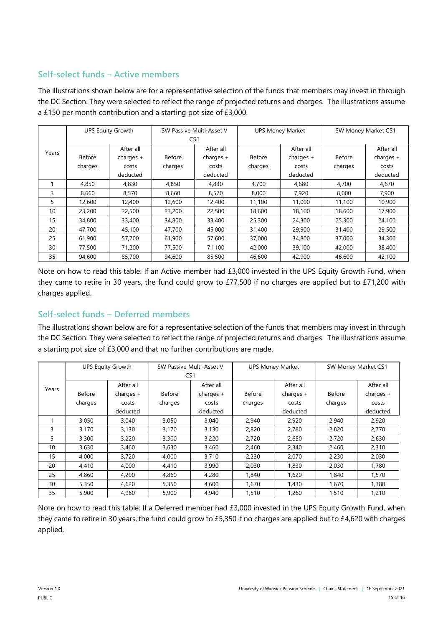# **Self-select funds – Active members**

The illustrations shown below are for a representative selection of the funds that members may invest in through the DC Section. They were selected to reflect the range of projected returns and charges. The illustrations assume a £150 per month contribution and a starting pot size of £3,000.

|       | <b>UPS Equity Growth</b> |             | SW Passive Multi-Asset V |             |         | <b>UPS Money Market</b> | SW Money Market CS1 |             |
|-------|--------------------------|-------------|--------------------------|-------------|---------|-------------------------|---------------------|-------------|
|       |                          |             | CS1                      |             |         |                         |                     |             |
| Years |                          | After all   |                          | After all   |         | After all               |                     | After all   |
|       | <b>Before</b>            | charges $+$ | Before                   | charges $+$ | Before  | charges $+$             | <b>Before</b>       | charges $+$ |
|       | charges                  | costs       | charges                  | costs       | charges | costs                   | charges             | costs       |
|       |                          | deducted    |                          | deducted    |         | deducted                |                     | deducted    |
|       | 4,850                    | 4,830       | 4.850                    | 4,830       | 4.700   | 4.680                   | 4,700               | 4,670       |
| 3     | 8.660                    | 8,570       | 8,660                    | 8,570       | 8,000   | 7,920                   | 8,000               | 7,900       |
| 5     | 12,600                   | 12,400      | 12,600                   | 12,400      | 11,100  | 11,000                  | 11,100              | 10,900      |
| 10    | 23,200                   | 22,500      | 23,200                   | 22,500      | 18,600  | 18,100                  | 18,600              | 17,900      |
| 15    | 34,800                   | 33,400      | 34,800                   | 33,400      | 25,300  | 24,300                  | 25,300              | 24,100      |
| 20    | 47,700                   | 45,100      | 47,700                   | 45,000      | 31,400  | 29,900                  | 31,400              | 29,500      |
| 25    | 61,900                   | 57,700      | 61,900                   | 57,600      | 37,000  | 34,800                  | 37,000              | 34,300      |
| 30    | 77,500                   | 71,200      | 77,500                   | 71,100      | 42,000  | 39,100                  | 42,000              | 38,400      |
| 35    | 94,600                   | 85,700      | 94,600                   | 85,500      | 46.600  | 42,900                  | 46.600              | 42,100      |

Note on how to read this table: If an Active member had £3,000 invested in the UPS Equity Growth Fund, when they came to retire in 30 years, the fund could grow to £77,500 if no charges are applied but to £71,200 with charges applied.

# **Self-select funds – Deferred members**

The illustrations shown below are for a representative selection of the funds that members may invest in through the DC Section. They were selected to reflect the range of projected returns and charges. The illustrations assume a starting pot size of £3,000 and that no further contributions are made.

|       |               | <b>UPS Equity Growth</b> |         | SW Passive Multi-Asset V |               | <b>UPS Money Market</b> | SW Money Market CS1 |             |
|-------|---------------|--------------------------|---------|--------------------------|---------------|-------------------------|---------------------|-------------|
|       |               |                          |         | CS <sub>1</sub>          |               |                         |                     |             |
| Years |               | After all                |         | After all                |               | After all               |                     | After all   |
|       | <b>Before</b> | charges $+$              | Before  | charges $+$              | <b>Before</b> | charges $+$             | <b>Before</b>       | charges $+$ |
|       | charges       | costs                    | charges | costs                    | charges       | costs                   | charges             | costs       |
|       |               | deducted                 |         | deducted                 |               | deducted                |                     | deducted    |
|       | 3,050         | 3.040                    | 3,050   | 3,040                    | 2,940         | 2,920                   | 2,940               | 2,920       |
| 3     | 3,170         | 3,130                    | 3,170   | 3,130                    | 2,820         | 2.780                   | 2,820               | 2.770       |
| 5     | 3,300         | 3,220                    | 3,300   | 3,220                    | 2.720         | 2,650                   | 2,720               | 2,630       |
| 10    | 3,630         | 3,460                    | 3,630   | 3,460                    | 2,460         | 2,340                   | 2,460               | 2,310       |
| 15    | 4,000         | 3.720                    | 4.000   | 3,710                    | 2,230         | 2.070                   | 2,230               | 2,030       |
| 20    | 4.410         | 4,000                    | 4,410   | 3,990                    | 2,030         | 1,830                   | 2,030               | 1,780       |
| 25    | 4.860         | 4,290                    | 4,860   | 4,280                    | 1.840         | 1,620                   | 1.840               | 1,570       |
| 30    | 5,350         | 4,620                    | 5,350   | 4,600                    | 1,670         | 1,430                   | 1,670               | 1,380       |
| 35    | 5,900         | 4,960                    | 5,900   | 4,940                    | 1,510         | 1,260                   | 1,510               | 1,210       |

Note on how to read this table: If a Deferred member had £3,000 invested in the UPS Equity Growth Fund, when they came to retire in 30 years, the fund could grow to £5,350 if no charges are applied but to £4,620 with charges applied.